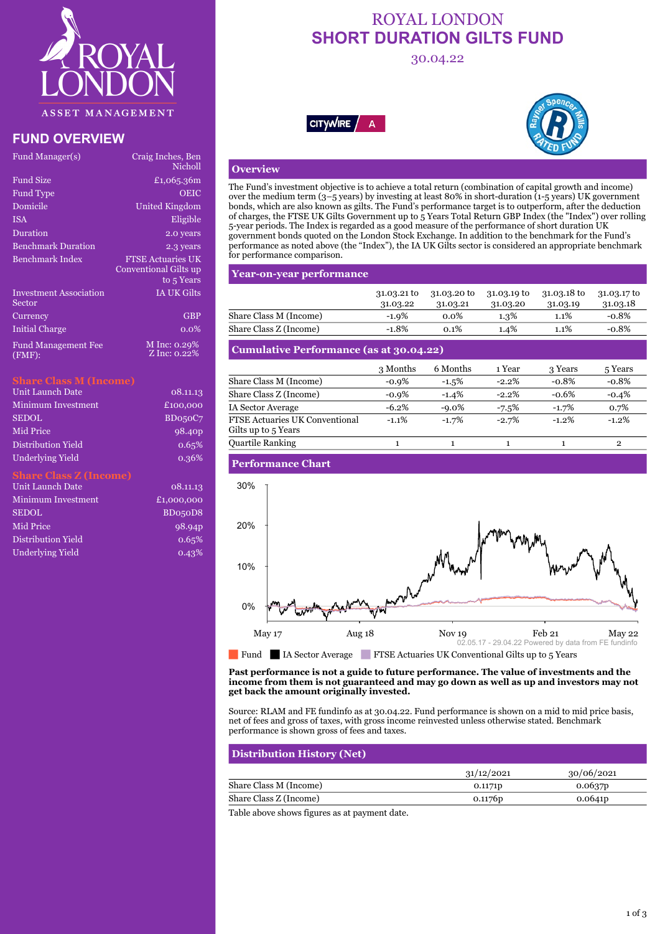

## **FUND OVERVIEW**

| Fund Manager(s)                         | Craig Inches, Ben<br>Nicholl                                    |
|-----------------------------------------|-----------------------------------------------------------------|
| <b>Fund Size</b>                        | £1,065.36m                                                      |
| <b>Fund Type</b>                        | OEIC                                                            |
| Domicile                                | United Kingdom                                                  |
| <b>ISA</b>                              | Eligible                                                        |
| Duration                                | 2.0 years                                                       |
| <b>Benchmark Duration</b>               | 2.3 years                                                       |
| <b>Benchmark Index</b>                  | <b>FTSE Actuaries UK</b><br>Conventional Gilts up<br>to 5 Years |
| <b>Investment Association</b><br>Sector | <b>IA UK Gilts</b>                                              |
| Currency                                | <b>GBP</b>                                                      |
| <b>Initial Charge</b>                   | $0.0\%$                                                         |
| <b>Fund Management Fee</b><br>(FMF):    | M Inc: 0.29%<br>Z Inc: 0.22%                                    |

#### **Share Class M (Income)**

| Unit Launch Date   | 08.11.13                         |
|--------------------|----------------------------------|
| Minimum Investment | £100,000                         |
| <b>SEDOL</b>       | BDo <sub>50</sub> C <sub>7</sub> |
| Mid Price          | 98.40 <sub>p</sub>               |
| Distribution Yield | 0.65%                            |
| Underlying Yield   | 0.36%                            |
|                    |                                  |

#### **Share Class Z (Income)**

| Unit Launch Date          | 08.11.13           |
|---------------------------|--------------------|
| <b>Minimum Investment</b> | £1,000,000         |
| <b>SEDOL</b>              | BD050D8            |
| Mid Price                 | 98.94 <sub>p</sub> |
| Distribution Yield        | 0.65%              |
| <b>Underlying Yield</b>   | 0.43%              |

# ROYAL LONDON **SHORT DURATION GILTS FUND**

30.04.22





### **Overview**

The Fund's investment objective is to achieve a total return (combination of capital growth and income) over the medium term (3–5 years) by investing at least 80% in short-duration (1-5 years) UK government bonds, which are also known as gilts. The Fund's performance target is to outperform, after the deduction of charges, the FTSE UK Gilts Government up to 5 Years Total Return GBP Index (the "Index") over rolling 5-year periods. The Index is regarded as a good measure of the performance of short duration UK government bonds quoted on the London Stock Exchange. In addition to the benchmark for the Fund's performance as noted above (the "Index"), the IA UK Gilts sector is considered an appropriate benchmark for performance comparison.

#### **Year-on-year performance**

|                        | 31.03.21 to<br>31.03.22 | 31.03.20 to<br>31.03.21 | 31.03.19 to<br>31.03.20 | 31.03.18 to<br>31.03.19 | 31.03.17 to<br>31.03.18 |
|------------------------|-------------------------|-------------------------|-------------------------|-------------------------|-------------------------|
| Share Class M (Income) | $-1.9\%$                | $0.0\%$                 | 1.3%                    | $1.1\%$                 | -0.8%                   |
| Share Class Z (Income) | $-1.8%$                 | $0.1\%$                 | 1.4%                    | $1.1\%$                 | -0.8%                   |

#### **Cumulative Performance (as at 30.04.22)**

|                                                              | 3 Months | 6 Months | 1 Year  | 3 Years  | 5 Years        |
|--------------------------------------------------------------|----------|----------|---------|----------|----------------|
| Share Class M (Income)                                       | $-0.9%$  | $-1.5%$  | $-2.2%$ | $-0.8\%$ | $-0.8%$        |
| Share Class Z (Income)                                       | $-0.9%$  | $-1.4%$  | $-2.2%$ | $-0.6%$  | $-0.4%$        |
| <b>IA Sector Average</b>                                     | $-6.2%$  | $-9.0\%$ | $-7.5%$ | $-1.7%$  | 0.7%           |
| <b>FTSE Actuaries UK Conventional</b><br>Gilts up to 5 Years | $-1.1\%$ | $-1.7%$  | $-2.7%$ | $-1.2%$  | $-1.2%$        |
| <b>Quartile Ranking</b>                                      |          |          |         |          | $\overline{2}$ |

### **Performance Chart**



**Past performance is not a guide to future performance. The value of investments and the income from them is not guaranteed and may go down as well as up and investors may not get back the amount originally invested.**

Source: RLAM and FE fundinfo as at 30.04.22. Fund performance is shown on a mid to mid price basis, net of fees and gross of taxes, with gross income reinvested unless otherwise stated. Benchmark performance is shown gross of fees and taxes.

# **Distribution History (Net)**

|                        | 31/12/2021          | 30/06/2021 |
|------------------------|---------------------|------------|
| Share Class M (Income) | 0.1171 <sub>p</sub> | 0.0637p    |
| Share Class Z (Income) | 0.1176 <sub>p</sub> | 0.0641p    |

Table above shows figures as at payment date.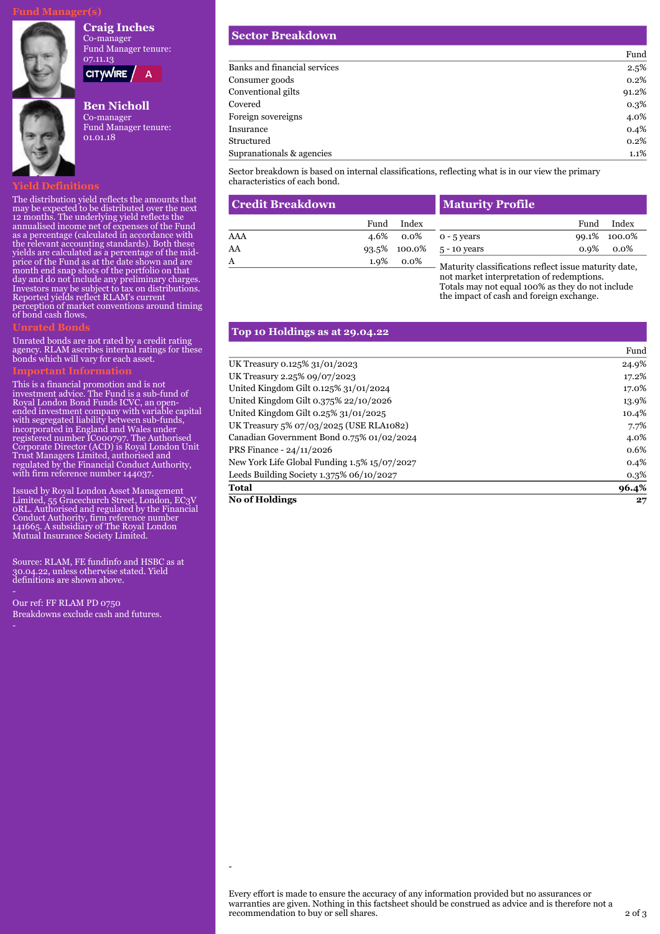#### **Craig Inches**



**CITYWIRE** 

Fund Manager tenure:

 $\overline{A}$ 

# **Ben Nicholl**

Co-manager Fund Manager tenure: 01.01.18

### **Yield Definitions**

The distribution yield reflects the amounts that may be expected to be distributed over the next 12 months. The underlying yield reflects the annualised income net of expenses of the Fund as a percentage (calculated in accordance with the relevant accounting standards). Both these yields are calculated as a percentage of the midprice of the Fund as at the date shown and are month end snap shots of the portfolio on that day and do not include any preliminary charges. Investors may be subject to tax on distributions. Reported yields reflect RLAM's current perception of market conventions around timing of bond cash flows.

#### **Unrated Bonds**

Unrated bonds are not rated by a credit rating agency. RLAM ascribes internal ratings for these bonds which will vary for each asset.

This is a financial promotion and is not investment advice. The Fund is a sub-fund of Royal London Bond Funds ICVC, an openended investment company with variable capital with segregated liability between sub-funds, incorporated in England and Wales under registered number IC000797. The Authorised Corporate Director (ACD) is Royal London Unit Trust Managers Limited, authorised and regulated by the Financial Conduct Authority, with firm reference number 144037.

Issued by Royal London Asset Management Limited, 55 Gracechurch Street, London, EC3V 0RL. Authorised and regulated by the Financial Conduct Authority, firm reference number 141665. A subsidiary of The Royal London Mutual Insurance Society Limited.

Source: RLAM, FE fundinfo and HSBC as at 30.04.22, unless otherwise stated. Yield definitions are shown above.

Our ref: FF RLAM PD 0750 Breakdowns exclude cash and futures.

#### **Sector Breakdown**

|                              | Fund  |
|------------------------------|-------|
| Banks and financial services | 2.5%  |
| Consumer goods               | 0.2%  |
| Conventional gilts           | 91.2% |
| Covered                      | 0.3%  |
| Foreign sovereigns           | 4.0%  |
| Insurance                    | 0.4%  |
| Structured                   | 0.2%  |
| Supranationals & agencies    | 1.1%  |

Sector breakdown is based on internal classifications, reflecting what is in our view the primary characteristics of each bond.

| <b>Credit Breakdown</b> |      | <b>Maturity Profile</b> |                                                                                                                                     |      |              |
|-------------------------|------|-------------------------|-------------------------------------------------------------------------------------------------------------------------------------|------|--------------|
|                         | Fund | Index                   |                                                                                                                                     | Fund | Index        |
| AAA                     |      |                         | 4.6\% 0.0\% 0 - 5 years                                                                                                             |      | 99.1% 100.0% |
| AA                      |      |                         | $93.5\%$ 100.0% 5 - 10 years                                                                                                        |      | $0.9\%$ 0.0% |
| A                       | 1.9% | 0.0%                    | $\mathbf{v}$ and $\mathbf{v}$ and $\mathbf{v}$ and $\mathbf{v}$ and $\mathbf{v}$ and $\mathbf{v}$ and $\mathbf{v}$ and $\mathbf{v}$ |      |              |

Maturity classifications reflect issue maturity date, not market interpretation of redemptions. Totals may not equal 100% as they do not include the impact of cash and foreign exchange.

Fund

#### **Top 10 Holdings as at 29.04.22**

-

| UK Treasury 0.125% 31/01/2023                | 24.9%   |
|----------------------------------------------|---------|
| UK Treasury 2.25% 09/07/2023                 | 17.2%   |
| United Kingdom Gilt 0.125% 31/01/2024        | 17.0%   |
| United Kingdom Gilt 0.375% 22/10/2026        | 13.9%   |
| United Kingdom Gilt 0.25% 31/01/2025         | 10.4%   |
| UK Treasury 5% 07/03/2025 (USE RLA1082)      | 7.7%    |
| Canadian Government Bond 0.75% 01/02/2024    | 4.0%    |
| PRS Finance - 24/11/2026                     | 0.6%    |
| New York Life Global Funding 1.5% 15/07/2027 | 0.4%    |
| Leeds Building Society $1.375\%$ 06/10/2027  | $0.3\%$ |
| <b>Total</b>                                 | 96.4%   |
| <b>No of Holdings</b>                        | 27      |

Every effort is made to ensure the accuracy of any information provided but no assurances or warranties are given. Nothing in this factsheet should be construed as advice and is therefore not a recommendation to buy or sell shares.